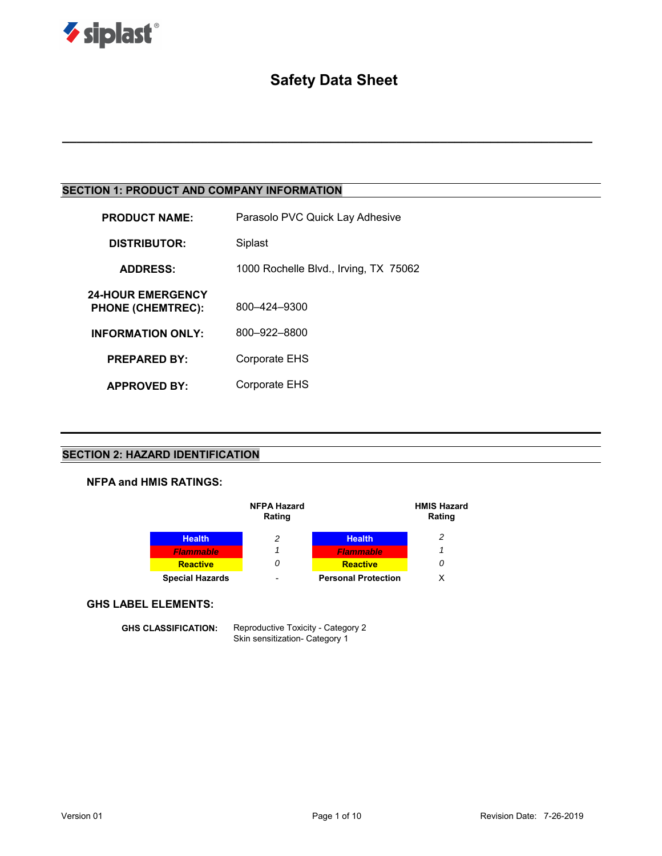

# **Safety Data Sheet**

**\_\_\_\_\_\_\_\_\_\_\_\_\_\_\_\_\_\_\_\_\_\_\_\_\_\_\_\_\_\_\_\_\_\_\_\_\_\_\_\_\_\_\_\_\_\_\_\_\_\_\_\_\_\_\_\_\_\_\_\_\_\_\_\_\_\_\_\_\_\_\_\_\_**

# **SECTION 1: PRODUCT AND COMPANY INFORMATION**

| <b>PRODUCT NAME:</b>                                 | Parasolo PVC Quick Lay Adhesive       |  |  |
|------------------------------------------------------|---------------------------------------|--|--|
| <b>DISTRIBUTOR:</b>                                  | Siplast                               |  |  |
| <b>ADDRESS:</b>                                      | 1000 Rochelle Blvd., Irving, TX 75062 |  |  |
| <b>24-HOUR EMERGENCY</b><br><b>PHONE (CHEMTREC):</b> | 800-424-9300                          |  |  |
| <b>INFORMATION ONLY:</b>                             | 800-922-8800                          |  |  |
| <b>PREPARED BY:</b>                                  | Corporate EHS                         |  |  |
| <b>APPROVED BY:</b>                                  | Corporate EHS                         |  |  |

### **SECTION 2: HAZARD IDENTIFICATION**

### **NFPA and HMIS RATINGS:**



#### **GHS LABEL ELEMENTS:**

**GHS CLASSIFICATION:** Reproductive Toxicity - Category 2 Skin sensitization- Category 1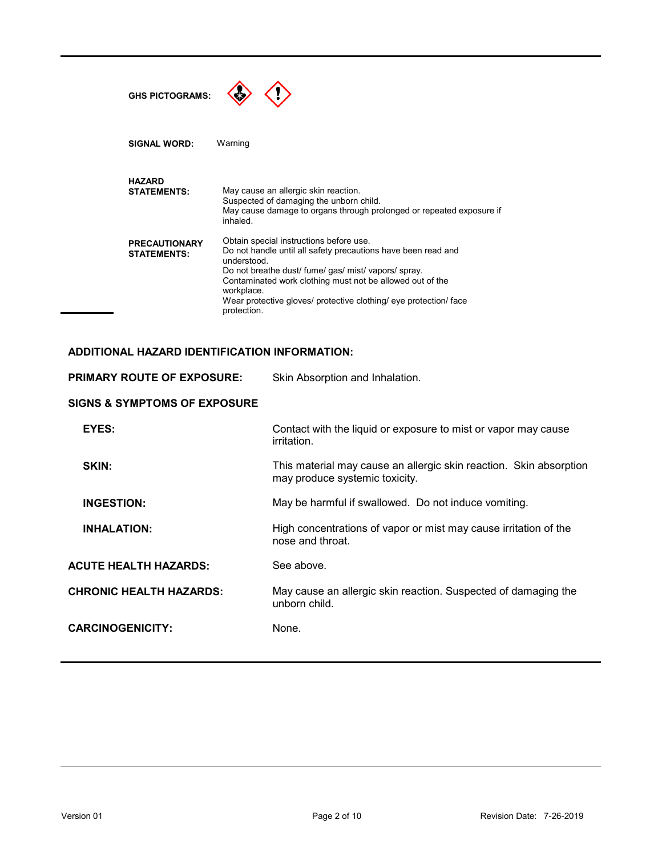| <b>GHS PICTOGRAMS:</b>                     |                                                                                                                                                                                                                                                                                                                                                |
|--------------------------------------------|------------------------------------------------------------------------------------------------------------------------------------------------------------------------------------------------------------------------------------------------------------------------------------------------------------------------------------------------|
| <b>SIGNAL WORD:</b>                        | Warning                                                                                                                                                                                                                                                                                                                                        |
| <b>HAZARD</b><br><b>STATEMENTS:</b>        | May cause an allergic skin reaction.<br>Suspected of damaging the unborn child.<br>May cause damage to organs through prolonged or repeated exposure if<br>inhaled                                                                                                                                                                             |
| <b>PRECAUTIONARY</b><br><b>STATEMENTS:</b> | Obtain special instructions before use.<br>Do not handle until all safety precautions have been read and<br>understood.<br>Do not breathe dust/ fume/ gas/ mist/ vapors/ spray.<br>Contaminated work clothing must not be allowed out of the<br>workplace.<br>Wear protective gloves/ protective clothing/ eye protection/ face<br>protection. |

### **ADDITIONAL HAZARD IDENTIFICATION INFORMATION:**

| <b>PRIMARY ROUTE OF EXPOSURE:</b>       | Skin Absorption and Inhalation.                                                                      |  |  |
|-----------------------------------------|------------------------------------------------------------------------------------------------------|--|--|
| <b>SIGNS &amp; SYMPTOMS OF EXPOSURE</b> |                                                                                                      |  |  |
| EYES:                                   | Contact with the liquid or exposure to mist or vapor may cause<br>irritation.                        |  |  |
| SKIN:                                   | This material may cause an allergic skin reaction. Skin absorption<br>may produce systemic toxicity. |  |  |
| <b>INGESTION:</b>                       | May be harmful if swallowed. Do not induce vomiting.                                                 |  |  |
| <b>INHALATION:</b>                      | High concentrations of vapor or mist may cause irritation of the<br>nose and throat.                 |  |  |
| <b>ACUTE HEALTH HAZARDS:</b>            | See above.                                                                                           |  |  |
| <b>CHRONIC HEALTH HAZARDS:</b>          | May cause an allergic skin reaction. Suspected of damaging the<br>unborn child.                      |  |  |
| <b>CARCINOGENICITY:</b>                 | None.                                                                                                |  |  |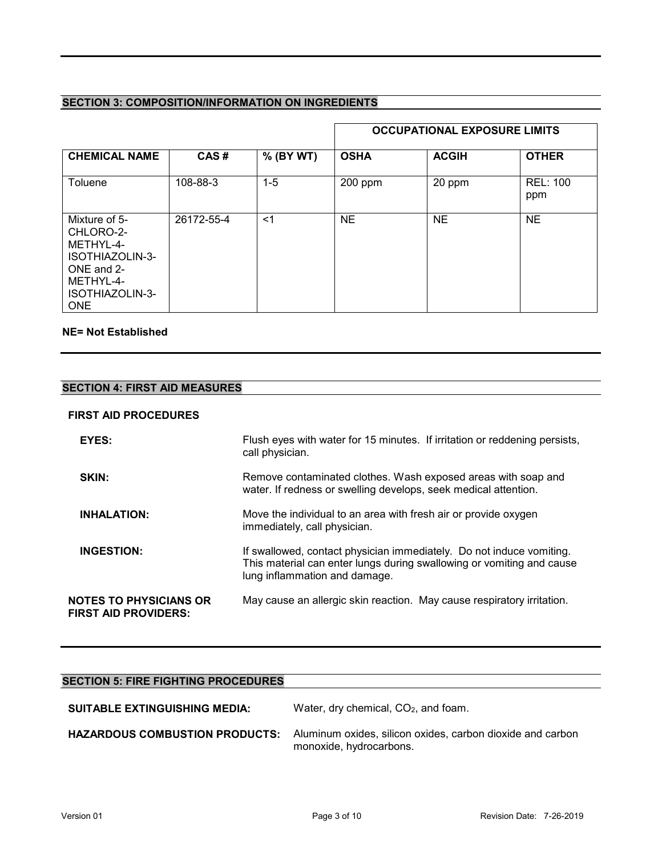# **SECTION 3: COMPOSITION/INFORMATION ON INGREDIENTS**

|                                                                                                                        |            |           | <b>OCCUPATIONAL EXPOSURE LIMITS</b> |              |                        |
|------------------------------------------------------------------------------------------------------------------------|------------|-----------|-------------------------------------|--------------|------------------------|
| <b>CHEMICAL NAME</b>                                                                                                   | CAS#       | % (BY WT) | <b>OSHA</b>                         | <b>ACGIH</b> | <b>OTHER</b>           |
| Toluene                                                                                                                | 108-88-3   | $1 - 5$   | $200$ ppm                           | 20 ppm       | <b>REL: 100</b><br>ppm |
| Mixture of 5-<br>CHLORO-2-<br>METHYL-4-<br>ISOTHIAZOLIN-3-<br>ONE and 2-<br>METHYL-4-<br>ISOTHIAZOLIN-3-<br><b>ONE</b> | 26172-55-4 | $<$ 1     | <b>NE</b>                           | <b>NE</b>    | <b>NE</b>              |

### **NE= Not Established**

# **SECTION 4: FIRST AID MEASURES**

### **FIRST AID PROCEDURES**

| EYES:                                                        | Flush eyes with water for 15 minutes. If irritation or reddening persists,<br>call physician.                                                                                  |
|--------------------------------------------------------------|--------------------------------------------------------------------------------------------------------------------------------------------------------------------------------|
| SKIN:                                                        | Remove contaminated clothes. Wash exposed areas with soap and<br>water. If redness or swelling develops, seek medical attention.                                               |
| <b>INHALATION:</b>                                           | Move the individual to an area with fresh air or provide oxygen<br>immediately, call physician.                                                                                |
| <b>INGESTION:</b>                                            | If swallowed, contact physician immediately. Do not induce vomiting.<br>This material can enter lungs during swallowing or vomiting and cause<br>lung inflammation and damage. |
| <b>NOTES TO PHYSICIANS OR</b><br><b>FIRST AID PROVIDERS:</b> | May cause an allergic skin reaction. May cause respiratory irritation.                                                                                                         |

# **SECTION 5: FIRE FIGHTING PROCEDURES**

| <b>SUITABLE EXTINGUISHING MEDIA:</b>  | Water, dry chemical, CO <sub>2</sub> , and foam.                                      |  |  |
|---------------------------------------|---------------------------------------------------------------------------------------|--|--|
| <b>HAZARDOUS COMBUSTION PRODUCTS:</b> | Aluminum oxides, silicon oxides, carbon dioxide and carbon<br>monoxide, hydrocarbons. |  |  |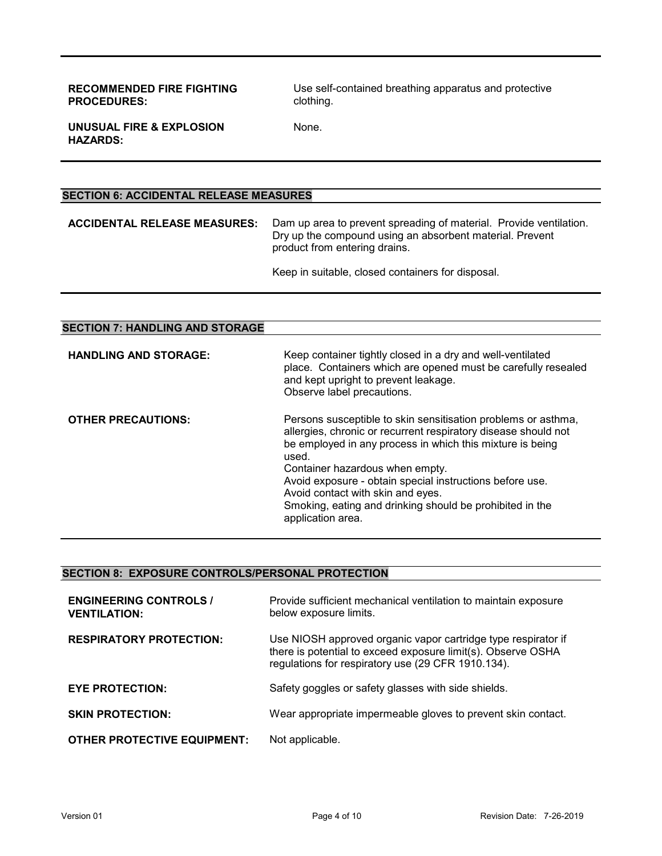**RECOMMENDED FIRE FIGHTING PROCEDURES:**

Use self-contained breathing apparatus and protective clothing.

**UNUSUAL FIRE & EXPLOSION HAZARDS:**

None.

### **SECTION 6: ACCIDENTAL RELEASE MEASURES**

**ACCIDENTAL RELEASE MEASURES:** Dam up area to prevent spreading of material. Provide ventilation. Dry up the compound using an absorbent material. Prevent product from entering drains.

Keep in suitable, closed containers for disposal.

| <b>SECTION 7: HANDLING AND STORAGE</b> |                                                                                                                                                                                                                                                                                                                                                                                                                            |
|----------------------------------------|----------------------------------------------------------------------------------------------------------------------------------------------------------------------------------------------------------------------------------------------------------------------------------------------------------------------------------------------------------------------------------------------------------------------------|
| <b>HANDLING AND STORAGE:</b>           | Keep container tightly closed in a dry and well-ventilated<br>place. Containers which are opened must be carefully resealed<br>and kept upright to prevent leakage.<br>Observe label precautions.                                                                                                                                                                                                                          |
| <b>OTHER PRECAUTIONS:</b>              | Persons susceptible to skin sensitisation problems or asthma,<br>allergies, chronic or recurrent respiratory disease should not<br>be employed in any process in which this mixture is being<br>used.<br>Container hazardous when empty.<br>Avoid exposure - obtain special instructions before use.<br>Avoid contact with skin and eyes.<br>Smoking, eating and drinking should be prohibited in the<br>application area. |

### **SECTION 8: EXPOSURE CONTROLS/PERSONAL PROTECTION**

| <b>ENGINEERING CONTROLS /</b><br><b>VENTILATION:</b> | Provide sufficient mechanical ventilation to maintain exposure<br>below exposure limits.                                                                                            |
|------------------------------------------------------|-------------------------------------------------------------------------------------------------------------------------------------------------------------------------------------|
| <b>RESPIRATORY PROTECTION:</b>                       | Use NIOSH approved organic vapor cartridge type respirator if<br>there is potential to exceed exposure limit(s). Observe OSHA<br>regulations for respiratory use (29 CFR 1910.134). |
| <b>EYE PROTECTION:</b>                               | Safety goggles or safety glasses with side shields.                                                                                                                                 |
| <b>SKIN PROTECTION:</b>                              | Wear appropriate impermeable gloves to prevent skin contact.                                                                                                                        |
| <b>OTHER PROTECTIVE EQUIPMENT:</b>                   | Not applicable.                                                                                                                                                                     |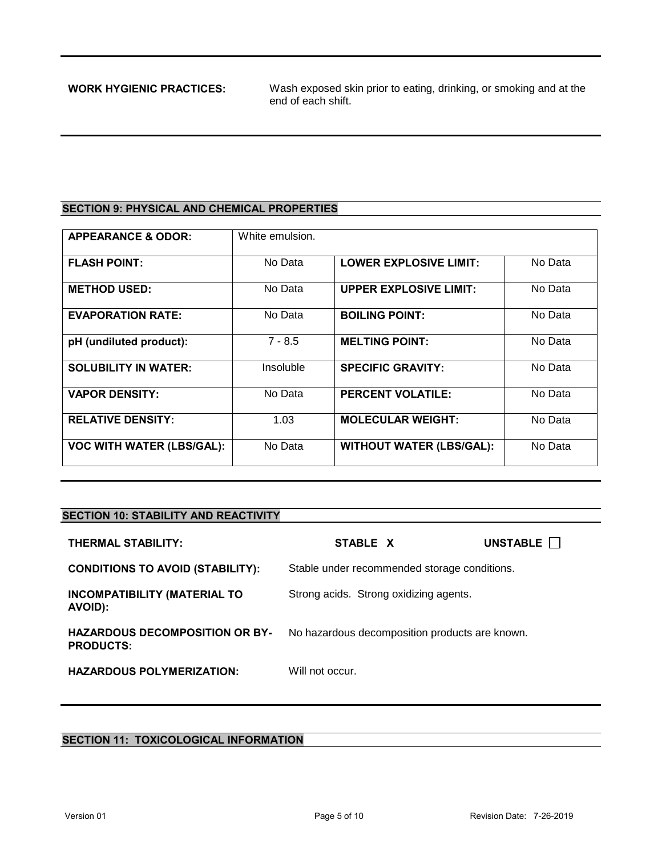**WORK HYGIENIC PRACTICES:** Wash exposed skin prior to eating, drinking, or smoking and at the end of each shift.

# **SECTION 9: PHYSICAL AND CHEMICAL PROPERTIES**

| <b>APPEARANCE &amp; ODOR:</b>    | White emulsion. |                                 |         |
|----------------------------------|-----------------|---------------------------------|---------|
| <b>FLASH POINT:</b>              | No Data         | <b>LOWER EXPLOSIVE LIMIT:</b>   | No Data |
| <b>METHOD USED:</b>              | No Data         | <b>UPPER EXPLOSIVE LIMIT:</b>   | No Data |
| <b>EVAPORATION RATE:</b>         | No Data         | <b>BOILING POINT:</b>           | No Data |
| pH (undiluted product):          | $7 - 8.5$       | <b>MELTING POINT:</b>           | No Data |
| <b>SOLUBILITY IN WATER:</b>      | Insoluble       | <b>SPECIFIC GRAVITY:</b>        | No Data |
| <b>VAPOR DENSITY:</b>            | No Data         | <b>PERCENT VOLATILE:</b>        | No Data |
| <b>RELATIVE DENSITY:</b>         | 1.03            | <b>MOLECULAR WEIGHT:</b>        | No Data |
| <b>VOC WITH WATER (LBS/GAL):</b> | No Data         | <b>WITHOUT WATER (LBS/GAL):</b> | No Data |

### **SECTION 10: STABILITY AND REACTIVITY**

| <b>THERMAL STABILITY:</b>                                 | STABLE X                                       | UNSTABLE <b>I</b> |
|-----------------------------------------------------------|------------------------------------------------|-------------------|
| <b>CONDITIONS TO AVOID (STABILITY):</b>                   | Stable under recommended storage conditions.   |                   |
| <b>INCOMPATIBILITY (MATERIAL TO</b><br>AVOID):            | Strong acids. Strong oxidizing agents.         |                   |
| <b>HAZARDOUS DECOMPOSITION OR BY-</b><br><b>PRODUCTS:</b> | No hazardous decomposition products are known. |                   |
| <b>HAZARDOUS POLYMERIZATION:</b>                          | Will not occur.                                |                   |

### **SECTION 11: TOXICOLOGICAL INFORMATION**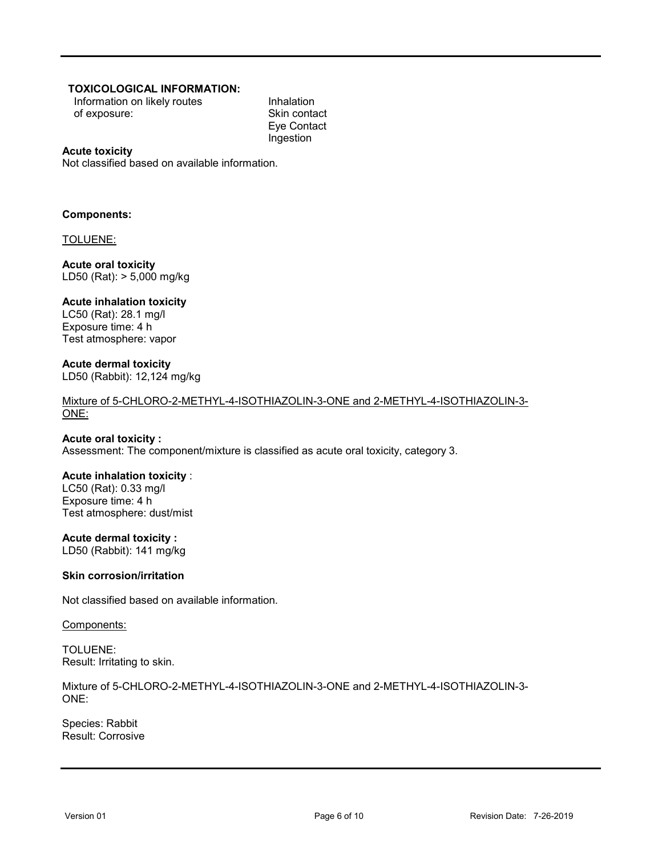### **TOXICOLOGICAL INFORMATION:**

Information on likely routes of exposure:

Inhalation Skin contact Eye Contact Ingestion

### **Acute toxicity**

Not classified based on available information.

### **Components:**

TOLUENE:

**Acute oral toxicity** LD50 (Rat): > 5,000 mg/kg

### **Acute inhalation toxicity**

LC50 (Rat): 28.1 mg/l Exposure time: 4 h Test atmosphere: vapor

### **Acute dermal toxicity**

LD50 (Rabbit): 12,124 mg/kg

Mixture of 5-CHLORO-2-METHYL-4-ISOTHIAZOLIN-3-ONE and 2-METHYL-4-ISOTHIAZOLIN-3- ONE:

### **Acute oral toxicity :**

Assessment: The component/mixture is classified as acute oral toxicity, category 3.

### **Acute inhalation toxicity** :

LC50 (Rat): 0.33 mg/l Exposure time: 4 h Test atmosphere: dust/mist

### **Acute dermal toxicity :**

LD50 (Rabbit): 141 mg/kg

### **Skin corrosion/irritation**

Not classified based on available information.

#### Components:

TOLUENE: Result: Irritating to skin.

Mixture of 5-CHLORO-2-METHYL-4-ISOTHIAZOLIN-3-ONE and 2-METHYL-4-ISOTHIAZOLIN-3- ONE:

Species: Rabbit Result: Corrosive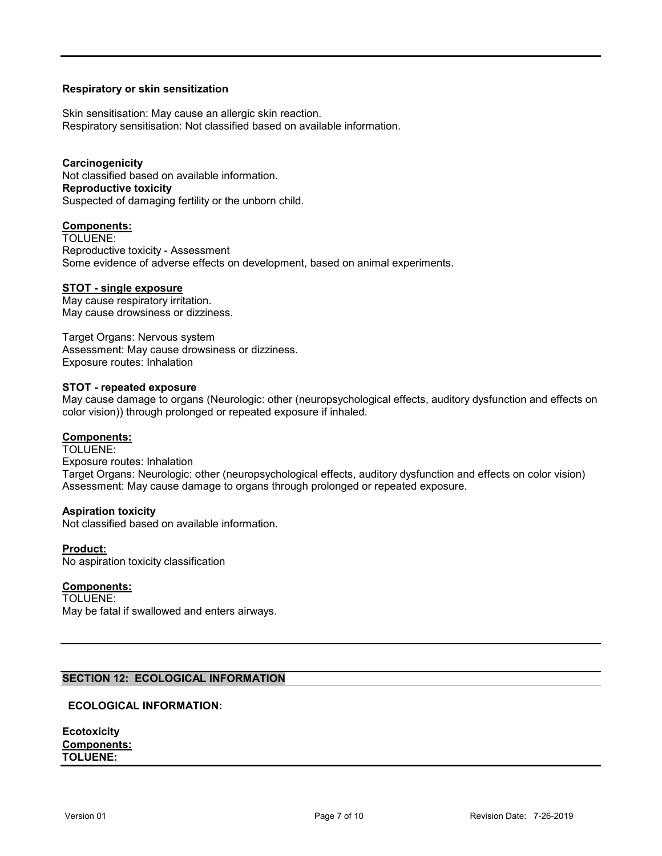### **Respiratory or skin sensitization**

Skin sensitisation: May cause an allergic skin reaction. Respiratory sensitisation: Not classified based on available information.

**Carcinogenicity** Not classified based on available information. **Reproductive toxicity** Suspected of damaging fertility or the unborn child.

### **Components:**

TOLUENE: Reproductive toxicity - Assessment Some evidence of adverse effects on development, based on animal experiments.

#### **STOT - single exposure**

May cause respiratory irritation. May cause drowsiness or dizziness.

Target Organs: Nervous system Assessment: May cause drowsiness or dizziness. Exposure routes: Inhalation

#### **STOT - repeated exposure**

May cause damage to organs (Neurologic: other (neuropsychological effects, auditory dysfunction and effects on color vision)) through prolonged or repeated exposure if inhaled.

### **Components:**

TOLUENE: Exposure routes: Inhalation Target Organs: Neurologic: other (neuropsychological effects, auditory dysfunction and effects on color vision) Assessment: May cause damage to organs through prolonged or repeated exposure.

#### **Aspiration toxicity**

Not classified based on available information.

#### **Product:**

No aspiration toxicity classification

### **Components:**

TOLUENE:

May be fatal if swallowed and enters airways.

### **SECTION 12: ECOLOGICAL INFORMATION**

#### **ECOLOGICAL INFORMATION:**

| <b>Ecotoxicity</b> |
|--------------------|
| <b>Components:</b> |
| <b>TOLUENE:</b>    |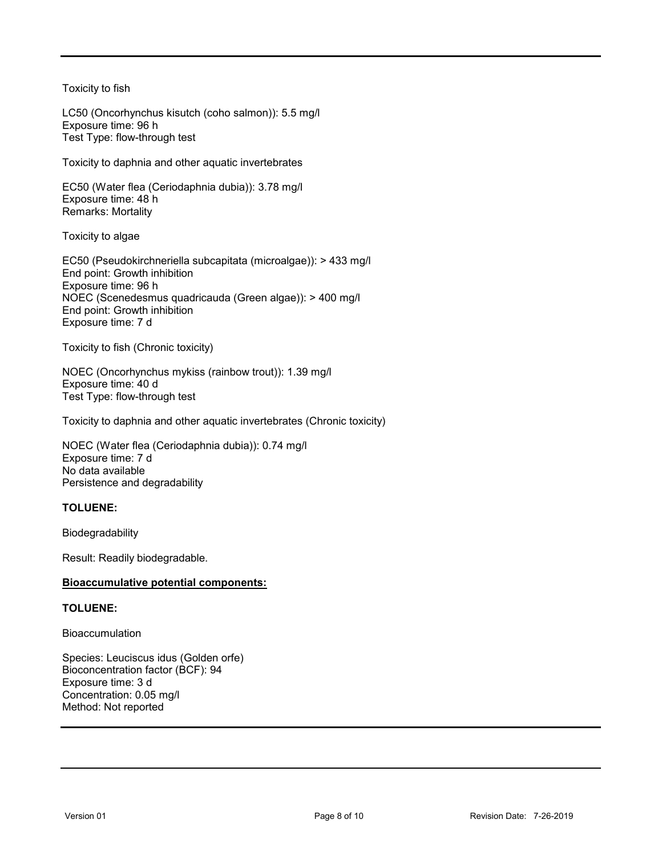Toxicity to fish

LC50 (Oncorhynchus kisutch (coho salmon)): 5.5 mg/l Exposure time: 96 h Test Type: flow-through test

Toxicity to daphnia and other aquatic invertebrates

EC50 (Water flea (Ceriodaphnia dubia)): 3.78 mg/l Exposure time: 48 h Remarks: Mortality

Toxicity to algae

EC50 (Pseudokirchneriella subcapitata (microalgae)): > 433 mg/l End point: Growth inhibition Exposure time: 96 h NOEC (Scenedesmus quadricauda (Green algae)): > 400 mg/l End point: Growth inhibition Exposure time: 7 d

Toxicity to fish (Chronic toxicity)

NOEC (Oncorhynchus mykiss (rainbow trout)): 1.39 mg/l Exposure time: 40 d Test Type: flow-through test

Toxicity to daphnia and other aquatic invertebrates (Chronic toxicity)

NOEC (Water flea (Ceriodaphnia dubia)): 0.74 mg/l Exposure time: 7 d No data available Persistence and degradability

### **TOLUENE:**

Biodegradability

Result: Readily biodegradable.

### **Bioaccumulative potential components:**

### **TOLUENE:**

Bioaccumulation

Species: Leuciscus idus (Golden orfe) Bioconcentration factor (BCF): 94 Exposure time: 3 d Concentration: 0.05 mg/l Method: Not reported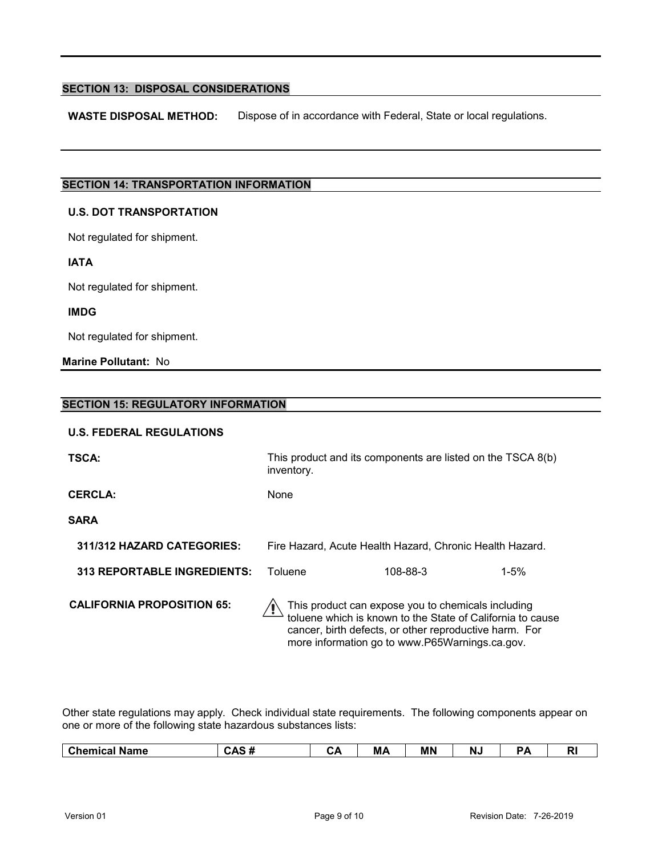### **SECTION 13: DISPOSAL CONSIDERATIONS**

**WASTE DISPOSAL METHOD:** Dispose of in accordance with Federal, State or local regulations.

## **SECTION 14: TRANSPORTATION INFORMATION**

#### **U.S. DOT TRANSPORTATION**

Not regulated for shipment.

**IATA**

Not regulated for shipment.

### **IMDG**

Not regulated for shipment.

**Marine Pollutant:** No

| SECTION 15: REGULATORY INFORMATION |                                                                           |                                                    |                                                            |  |
|------------------------------------|---------------------------------------------------------------------------|----------------------------------------------------|------------------------------------------------------------|--|
| <b>U.S. FEDERAL REGULATIONS</b>    |                                                                           |                                                    |                                                            |  |
| <b>TSCA:</b>                       | This product and its components are listed on the TSCA 8(b)<br>inventory. |                                                    |                                                            |  |
| <b>CERCLA:</b>                     | None                                                                      |                                                    |                                                            |  |
| <b>SARA</b>                        |                                                                           |                                                    |                                                            |  |
| 311/312 HAZARD CATEGORIES:         | Fire Hazard, Acute Health Hazard, Chronic Health Hazard.                  |                                                    |                                                            |  |
| <b>313 REPORTABLE INGREDIENTS:</b> | Toluene                                                                   | 108-88-3                                           | $1 - 5%$                                                   |  |
| <b>CALIFORNIA PROPOSITION 65:</b>  | cancer, birth defects, or other reproductive harm. For                    | This product can expose you to chemicals including | toluene which is known to the State of California to cause |  |

Other state regulations may apply. Check individual state requirements. The following components appear on one or more of the following state hazardous substances lists:

more information go to www.P65Warnings.ca.gov.

| ---<br>$\sim$<br>________<br>$\sim$ | <u>м.</u><br>Name<br><br>emica<br>ີ | - -<br><br>' ד<br>™~ | . .<br>◡◚ | ---<br>M<br>171 <i>1</i> | <b>MN</b> | טעו | - | N |
|-------------------------------------|-------------------------------------|----------------------|-----------|--------------------------|-----------|-----|---|---|
|-------------------------------------|-------------------------------------|----------------------|-----------|--------------------------|-----------|-----|---|---|